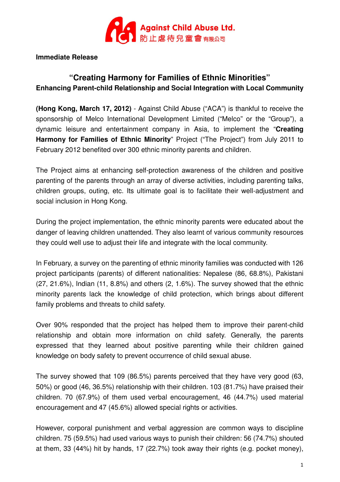

## **Immediate Release**

# **"Creating Harmony for Families of Ethnic Minorities" Enhancing Parent-child Relationship and Social Integration with Local Community**

**(Hong Kong, March 17, 2012)** - Against Child Abuse ("ACA") is thankful to receive the sponsorship of Melco International Development Limited ("Melco" or the "Group"), a dynamic leisure and entertainment company in Asia, to implement the "**Creating Harmony for Families of Ethnic Minority**" Project ("The Project") from July 2011 to February 2012 benefited over 300 ethnic minority parents and children.

The Project aims at enhancing self-protection awareness of the children and positive parenting of the parents through an array of diverse activities, including parenting talks, children groups, outing, etc. Its ultimate goal is to facilitate their well-adjustment and social inclusion in Hong Kong.

During the project implementation, the ethnic minority parents were educated about the danger of leaving children unattended. They also learnt of various community resources they could well use to adjust their life and integrate with the local community.

In February, a survey on the parenting of ethnic minority families was conducted with 126 project participants (parents) of different nationalities: Nepalese (86, 68.8%), Pakistani (27, 21.6%), Indian (11, 8.8%) and others (2, 1.6%). The survey showed that the ethnic minority parents lack the knowledge of child protection, which brings about different family problems and threats to child safety.

Over 90% responded that the project has helped them to improve their parent-child relationship and obtain more information on child safety. Generally, the parents expressed that they learned about positive parenting while their children gained knowledge on body safety to prevent occurrence of child sexual abuse.

The survey showed that 109 (86.5%) parents perceived that they have very good (63, 50%) or good (46, 36.5%) relationship with their children. 103 (81.7%) have praised their children. 70 (67.9%) of them used verbal encouragement, 46 (44.7%) used material encouragement and 47 (45.6%) allowed special rights or activities.

However, corporal punishment and verbal aggression are common ways to discipline children. 75 (59.5%) had used various ways to punish their children: 56 (74.7%) shouted at them, 33 (44%) hit by hands, 17 (22.7%) took away their rights (e.g. pocket money),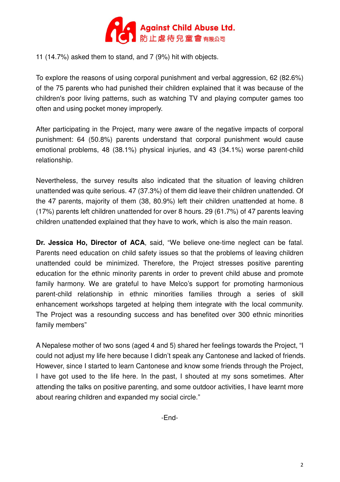

11 (14.7%) asked them to stand, and 7 (9%) hit with objects.

To explore the reasons of using corporal punishment and verbal aggression, 62 (82.6%) of the 75 parents who had punished their children explained that it was because of the children's poor living patterns, such as watching TV and playing computer games too often and using pocket money improperly.

After participating in the Project, many were aware of the negative impacts of corporal punishment: 64 (50.8%) parents understand that corporal punishment would cause emotional problems, 48 (38.1%) physical injuries, and 43 (34.1%) worse parent-child relationship.

Nevertheless, the survey results also indicated that the situation of leaving children unattended was quite serious. 47 (37.3%) of them did leave their children unattended. Of the 47 parents, majority of them (38, 80.9%) left their children unattended at home. 8 (17%) parents left children unattended for over 8 hours. 29 (61.7%) of 47 parents leaving children unattended explained that they have to work, which is also the main reason.

**Dr. Jessica Ho, Director of ACA**, said, "We believe one-time neglect can be fatal. Parents need education on child safety issues so that the problems of leaving children unattended could be minimized. Therefore, the Project stresses positive parenting education for the ethnic minority parents in order to prevent child abuse and promote family harmony. We are grateful to have Melco's support for promoting harmonious parent-child relationship in ethnic minorities families through a series of skill enhancement workshops targeted at helping them integrate with the local community. The Project was a resounding success and has benefited over 300 ethnic minorities family members"

A Nepalese mother of two sons (aged 4 and 5) shared her feelings towards the Project, "I could not adjust my life here because I didn't speak any Cantonese and lacked of friends. However, since I started to learn Cantonese and know some friends through the Project, I have got used to the life here. In the past, I shouted at my sons sometimes. After attending the talks on positive parenting, and some outdoor activities, I have learnt more about rearing children and expanded my social circle."

-End-